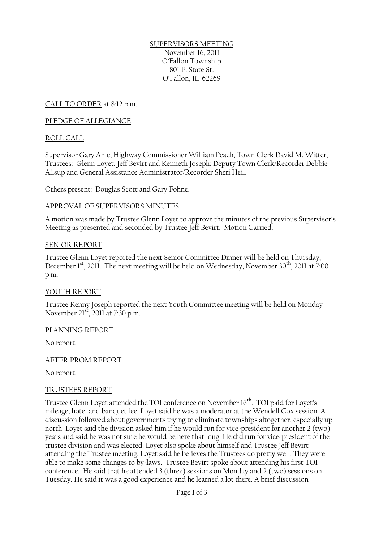#### SUPERVISORS MEETING November 16, 2011 O'Fallon Township 801 E. State St. O'Fallon, IL 62269

CALL TO ORDER at 8:12 p.m.

#### PLEDGE OF ALLEGIANCE

#### ROLL CALL

Supervisor Gary Ahle, Highway Commissioner William Peach, Town Clerk David M. Witter, Trustees: Glenn Loyet, Jeff Bevirt and Kenneth Joseph; Deputy Town Clerk/Recorder Debbie Allsup and General Assistance Administrator/Recorder Sheri Heil.

Others present: Douglas Scott and Gary Fohne.

#### APPROVAL OF SUPERVISORS MINUTES

A motion was made by Trustee Glenn Loyet to approve the minutes of the previous Supervisor's Meeting as presented and seconded by Trustee Jeff Bevirt. Motion Carried.

#### SENIOR REPORT

Trustee Glenn Loyet reported the next Senior Committee Dinner will be held on Thursday, December 1st, 2011. The next meeting will be held on Wednesday, November 30<sup>th</sup>, 2011 at 7:00 p.m.

#### YOUTH REPORT

Trustee Kenny Joseph reported the next Youth Committee meeting will be held on Monday November 21<sup>st</sup>, 2011 at 7:30 p.m.

#### PLANNING REPORT

No report.

#### AFTER PROM REPORT

No report.

#### TRUSTEES REPORT

Trustee Glenn Loyet attended the TOI conference on November 16<sup>th</sup>. TOI paid for Loyet's mileage, hotel and banquet fee. Loyet said he was a moderator at the Wendell Cox session. A discussion followed about governments trying to eliminate townships altogether, especially up north. Loyet said the division asked him if he would run for vice-president for another 2 (two) years and said he was not sure he would be here that long. He did run for vice-president of the trustee division and was elected. Loyet also spoke about himself and Trustee Jeff Bevirt attending the Trustee meeting. Loyet said he believes the Trustees do pretty well. They were able to make some changes to by-laws. Trustee Bevirt spoke about attending his first TOI conference. He said that he attended 3 (three) sessions on Monday and 2 (two) sessions on Tuesday. He said it was a good experience and he learned a lot there. A brief discussion

Page 1 of 3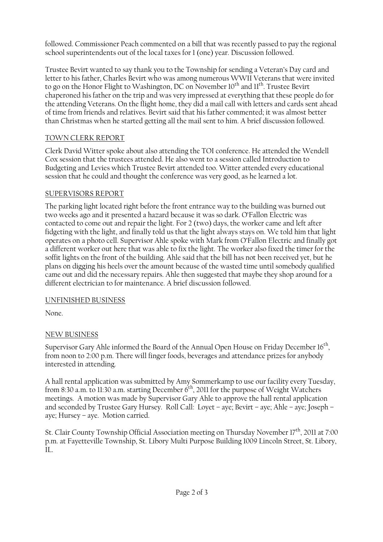followed. Commissioner Peach commented on a bill that was recently passed to pay the regional school superintendents out of the local taxes for 1 (one) year. Discussion followed.

Trustee Bevirt wanted to say thank you to the Township for sending a Veteran's Day card and letter to his father, Charles Bevirt who was among numerous WWII Veterans that were invited to go on the Honor Flight to Washington, DC on November 10<sup>th</sup> and 11<sup>th</sup>. Trustee Bevirt chaperoned his father on the trip and was very impressed at everything that these people do for the attending Veterans. On the flight home, they did a mail call with letters and cards sent ahead of time from friends and relatives. Bevirt said that his father commented; it was almost better than Christmas when he started getting all the mail sent to him. A brief discussion followed.

# TOWN CLERK REPORT

Clerk David Witter spoke about also attending the TOI conference. He attended the Wendell Cox session that the trustees attended. He also went to a session called Introduction to Budgeting and Levies which Trustee Bevirt attended too. Witter attended every educational session that he could and thought the conference was very good, as he learned a lot.

### SUPERVISORS REPORT

The parking light located right before the front entrance way to the building was burned out two weeks ago and it presented a hazard because it was so dark. O'Fallon Electric was contacted to come out and repair the light. For 2 (two) days, the worker came and left after fidgeting with the light, and finally told us that the light always stays on. We told him that light operates on a photo cell. Supervisor Ahle spoke with Mark from O'Fallon Electric and finally got a different worker out here that was able to fix the light. The worker also fixed the timer for the soffit lights on the front of the building. Ahle said that the bill has not been received yet, but he plans on digging his heels over the amount because of the wasted time until somebody qualified came out and did the necessary repairs. Ahle then suggested that maybe they shop around for a different electrician to for maintenance. A brief discussion followed.

# UNFINISHED BUSINESS

None.

# NEW BUSINESS

Supervisor Gary Ahle informed the Board of the Annual Open House on Friday December 16 $^{\rm th}$ , from noon to 2:00 p.m. There will finger foods, beverages and attendance prizes for anybody interested in attending.

A hall rental application was submitted by Amy Sommerkamp to use our facility every Tuesday, from 8:30 a.m. to 11:30 a.m. starting December  $6<sup>th</sup>$ , 2011 for the purpose of Weight Watchers meetings. A motion was made by Supervisor Gary Ahle to approve the hall rental application and seconded by Trustee Gary Hursey. Roll Call: Loyet – aye; Bevirt – aye; Ahle – aye; Joseph – aye; Hursey – aye. Motion carried.

St. Clair County Township Official Association meeting on Thursday November 17<sup>th</sup>, 2011 at 7:00 p.m. at Fayetteville Township, St. Libory Multi Purpose Building 1009 Lincoln Street, St. Libory, IL.